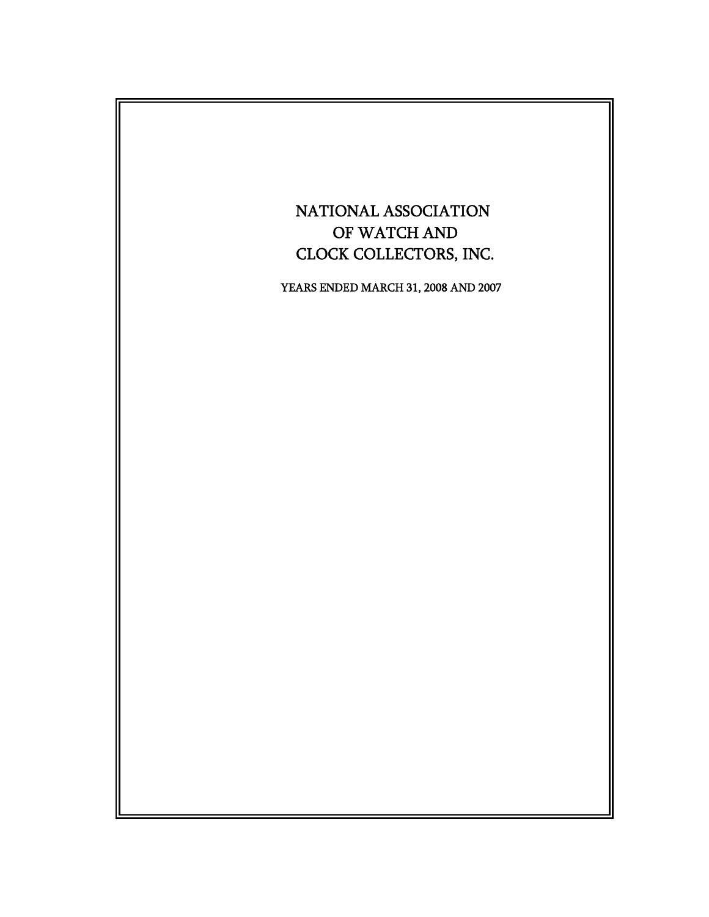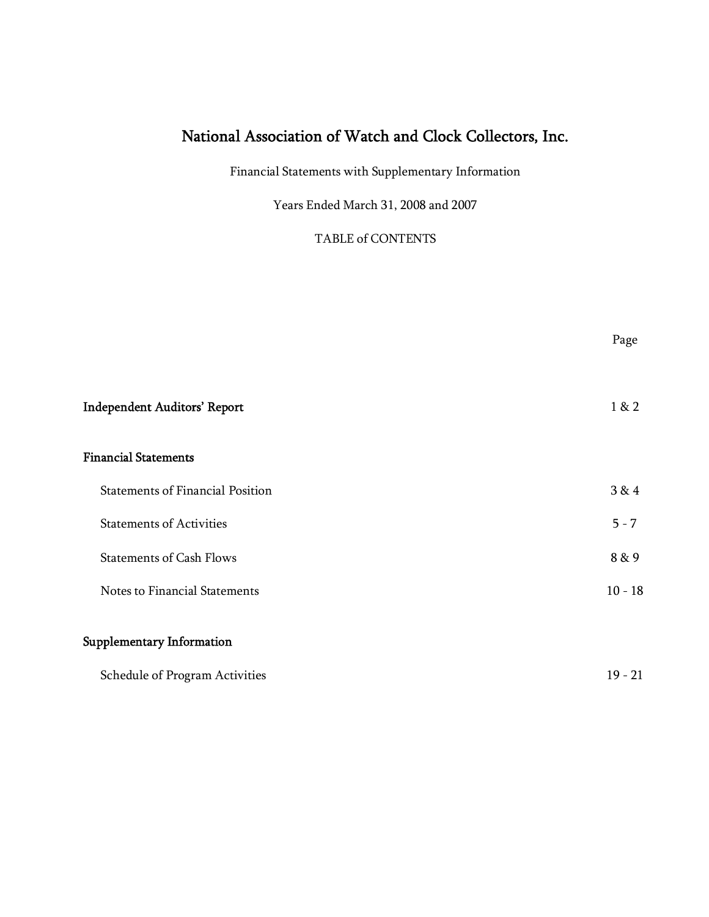Financial Statements with Supplementary Information

Years Ended March 31, 2008 and 2007

TABLE of CONTENTS

Page

| <b>Independent Auditors' Report</b>     | 1 & 2     |
|-----------------------------------------|-----------|
| <b>Financial Statements</b>             |           |
| <b>Statements of Financial Position</b> | 3 & 4     |
| <b>Statements of Activities</b>         | $5 - 7$   |
| <b>Statements of Cash Flows</b>         | 8 & 9     |
| Notes to Financial Statements           | $10 - 18$ |
| Supplementary Information               |           |
| Schedule of Program Activities          | $19 - 21$ |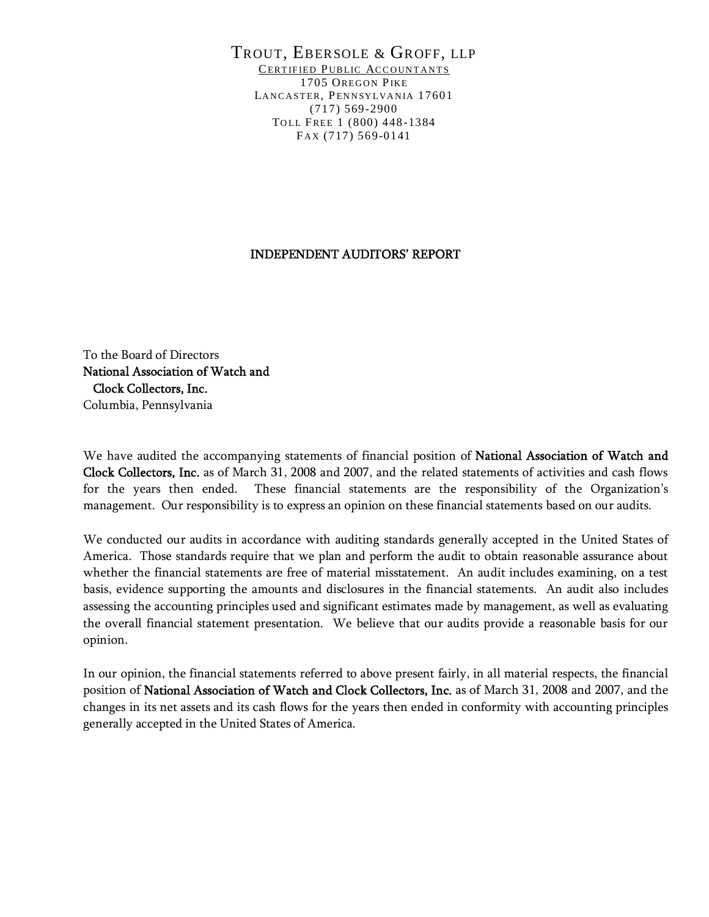#### TROUT, EBERSOLE & GROFF, LLP CERTIFIED PUBLIC ACCOUNTANTS 1705 OREGON PIKE LANCASTER, PENNSYLVANIA 17601 (717) 569-2900 TOLL FREE 1 (800) 448-1384 FAX (717) 569-0141

#### INDEPENDENT AUDITORS' REPORT

To the Board of Directors National Association of Watch and Clock Collectors, Inc. Columbia, Pennsylvania

We have audited the accompanying statements of financial position of National Association of Watch and Clock Collectors, Inc. as of March 31, 2008 and 2007, and the related statements of activities and cash flows for the years then ended. These financial statements are the responsibility of the Organization's management. Our responsibility is to express an opinion on these financial statements based on our audits.

We conducted our audits in accordance with auditing standards generally accepted in the United States of America. Those standards require that we plan and perform the audit to obtain reasonable assurance about whether the financial statements are free of material misstatement. An audit includes examining, on a test basis, evidence supporting the amounts and disclosures in the financial statements. An audit also includes assessing the accounting principles used and significant estimates made by management, as well as evaluating the overall financial statement presentation. We believe that our audits provide a reasonable basis for our opinion.

In our opinion, the financial statements referred to above present fairly, in all material respects, the financial position of National Association of Watch and Clock Collectors, Inc. as of March 31, 2008 and 2007, and the changes in its net assets and its cash flows for the years then ended in conformity with accounting principles generally accepted in the United States of America.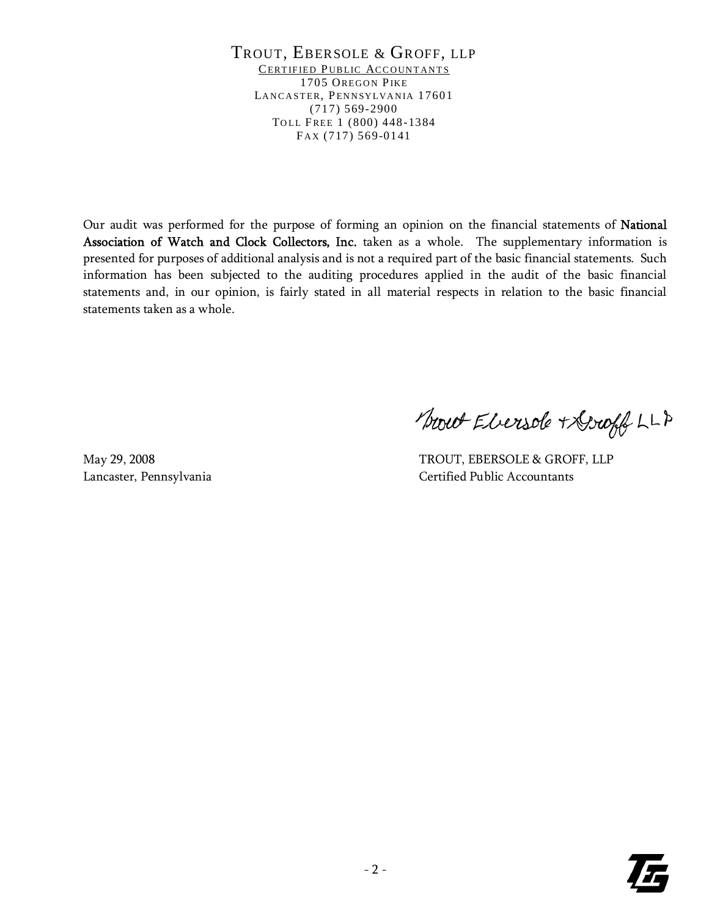TROUT, EBERSOLE & GROFF, LLP CERTIFIED PUBLIC ACCOUNTANTS 1705 OREGON PIKE LANCASTER, PENNSYLVANIA 17601 (717) 569-2900 TOLL FREE 1 (800) 448-1384 FAX (717) 569-0141

Our audit was performed for the purpose of forming an opinion on the financial statements of National Association of Watch and Clock Collectors, Inc. taken as a whole. The supplementary information is presented for purposes of additional analysis and is not a required part of the basic financial statements. Such information has been subjected to the auditing procedures applied in the audit of the basic financial statements and, in our opinion, is fairly stated in all material respects in relation to the basic financial statements taken as a whole.

Swet Ebersde + Groff LLP

May 29, 2008 TROUT, EBERSOLE & GROFF, LLP Lancaster, Pennsylvania Certified Public Accountants

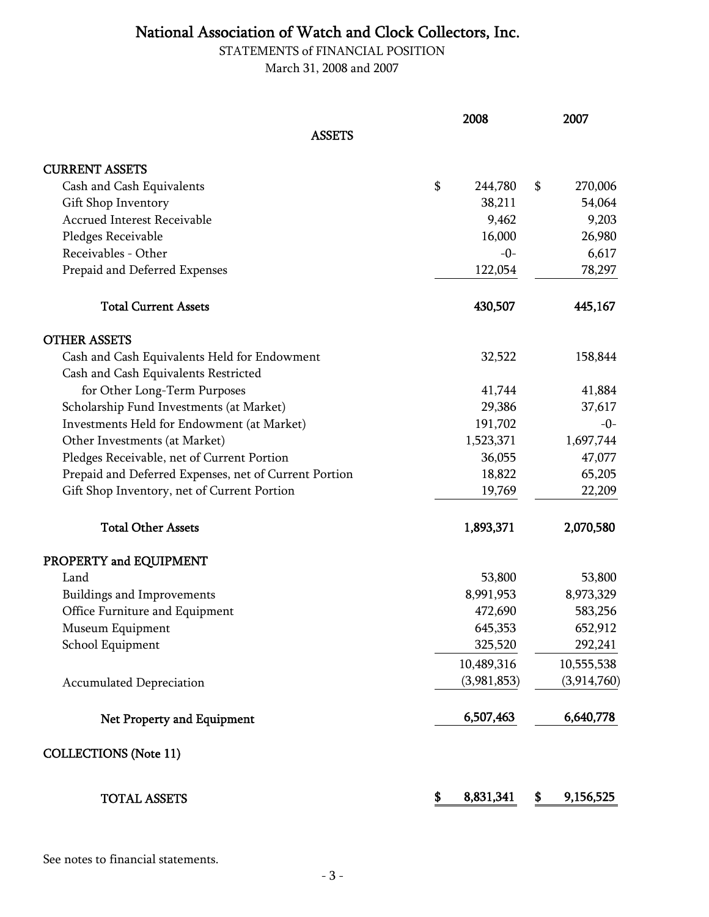STATEMENTS of FINANCIAL POSITION March 31, 2008 and 2007

|                                                       | 2008            | 2007            |
|-------------------------------------------------------|-----------------|-----------------|
| <b>ASSETS</b>                                         |                 |                 |
| <b>CURRENT ASSETS</b>                                 |                 |                 |
| Cash and Cash Equivalents                             | \$<br>244,780   | \$<br>270,006   |
| Gift Shop Inventory                                   | 38,211          | 54,064          |
| <b>Accrued Interest Receivable</b>                    | 9,462           | 9,203           |
| Pledges Receivable                                    | 16,000          | 26,980          |
| Receivables - Other                                   | $-0-$           | 6,617           |
| Prepaid and Deferred Expenses                         | 122,054         | 78,297          |
| <b>Total Current Assets</b>                           | 430,507         | 445,167         |
| <b>OTHER ASSETS</b>                                   |                 |                 |
| Cash and Cash Equivalents Held for Endowment          | 32,522          | 158,844         |
| Cash and Cash Equivalents Restricted                  |                 |                 |
| for Other Long-Term Purposes                          | 41,744          | 41,884          |
| Scholarship Fund Investments (at Market)              | 29,386          | 37,617          |
| Investments Held for Endowment (at Market)            | 191,702         | $-0-$           |
| Other Investments (at Market)                         | 1,523,371       | 1,697,744       |
| Pledges Receivable, net of Current Portion            | 36,055          | 47,077          |
| Prepaid and Deferred Expenses, net of Current Portion | 18,822          | 65,205          |
| Gift Shop Inventory, net of Current Portion           | 19,769          | 22,209          |
| <b>Total Other Assets</b>                             | 1,893,371       | 2,070,580       |
| PROPERTY and EQUIPMENT                                |                 |                 |
| Land                                                  | 53,800          | 53,800          |
| Buildings and Improvements                            | 8,991,953       | 8,973,329       |
| Office Furniture and Equipment                        | 472,690         | 583,256         |
| Museum Equipment                                      | 645,353         | 652,912         |
| School Equipment                                      | 325,520         | 292,241         |
|                                                       | 10,489,316      | 10,555,538      |
| <b>Accumulated Depreciation</b>                       | (3,981,853)     | (3,914,760)     |
| Net Property and Equipment                            | 6,507,463       | 6,640,778       |
| <b>COLLECTIONS (Note 11)</b>                          |                 |                 |
| <b>TOTAL ASSETS</b>                                   | \$<br>8,831,341 | \$<br>9,156,525 |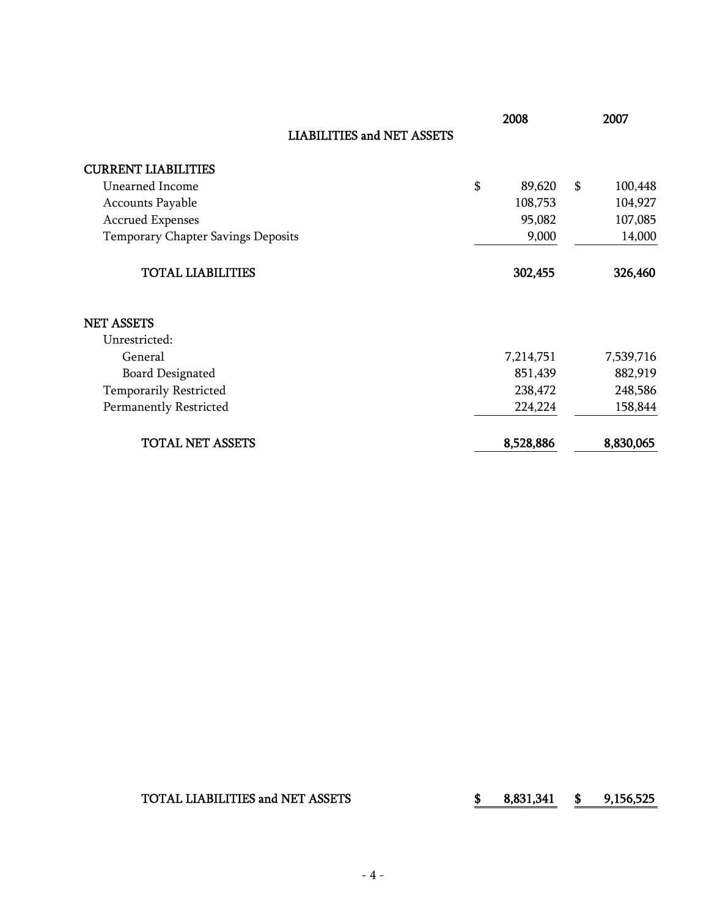|                                    | 2008         | 2007          |
|------------------------------------|--------------|---------------|
| <b>LIABILITIES and NET ASSETS</b>  |              |               |
| <b>CURRENT LIABILITIES</b>         |              |               |
| Unearned Income                    | \$<br>89,620 | \$<br>100,448 |
| Accounts Payable                   | 108,753      | 104,927       |
| <b>Accrued Expenses</b>            | 95,082       | 107,085       |
| Temporary Chapter Savings Deposits | 9,000        | 14,000        |
| <b>TOTAL LIABILITIES</b>           | 302,455      | 326,460       |
| <b>NET ASSETS</b>                  |              |               |
| Unrestricted:                      |              |               |
| General                            | 7,214,751    | 7,539,716     |
| <b>Board Designated</b>            | 851,439      | 882,919       |
| <b>Temporarily Restricted</b>      | 238,472      | 248,586       |
| Permanently Restricted             | 224,224      | 158,844       |
| <b>TOTAL NET ASSETS</b>            | 8,528,886    | 8,830,065     |

TOTAL LIABILITIES and NET ASSETS <br>\$ 8,831,341 \$ 9,156,525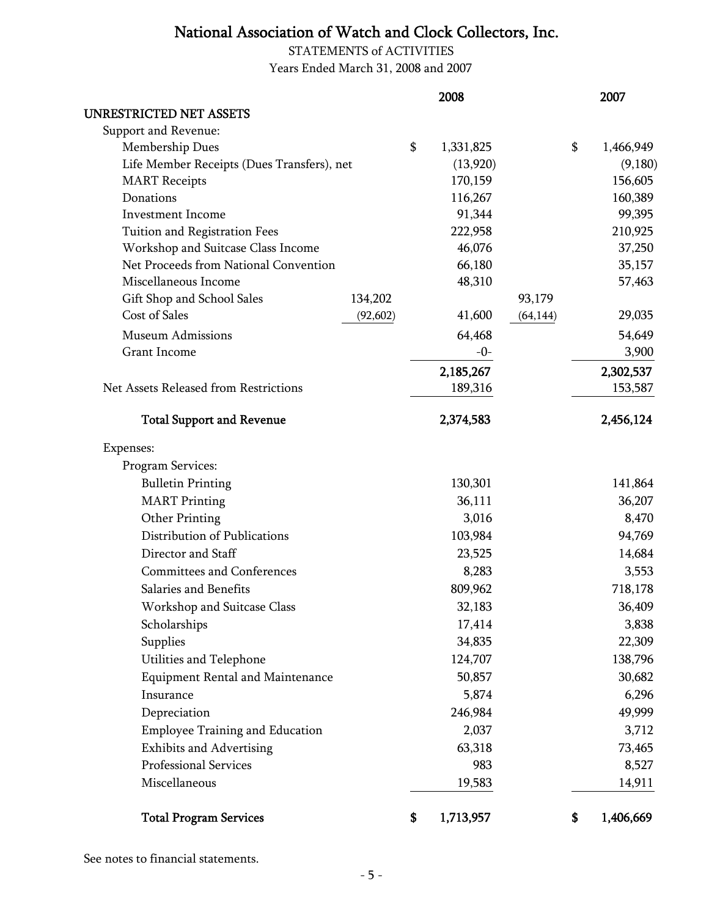STATEMENTS of ACTIVITIES Years Ended March 31, 2008 and 2007

|                                            |           | 2008            |           | 2007            |
|--------------------------------------------|-----------|-----------------|-----------|-----------------|
| <b>UNRESTRICTED NET ASSETS</b>             |           |                 |           |                 |
| Support and Revenue:                       |           |                 |           |                 |
| Membership Dues                            |           | \$<br>1,331,825 |           | \$<br>1,466,949 |
| Life Member Receipts (Dues Transfers), net |           | (13,920)        |           | (9,180)         |
| <b>MART</b> Receipts                       |           | 170,159         |           | 156,605         |
| Donations                                  |           | 116,267         |           | 160,389         |
| <b>Investment Income</b>                   |           | 91,344          |           | 99,395          |
| Tuition and Registration Fees              |           | 222,958         |           | 210,925         |
| Workshop and Suitcase Class Income         |           | 46,076          |           | 37,250          |
| Net Proceeds from National Convention      |           | 66,180          |           | 35,157          |
| Miscellaneous Income                       |           | 48,310          |           | 57,463          |
| Gift Shop and School Sales                 | 134,202   |                 | 93,179    |                 |
| Cost of Sales                              | (92, 602) | 41,600          | (64, 144) | 29,035          |
| <b>Museum Admissions</b>                   |           | 64,468          |           | 54,649          |
| <b>Grant Income</b>                        |           | $-0-$           |           | 3,900           |
|                                            |           | 2,185,267       |           | 2,302,537       |
| Net Assets Released from Restrictions      |           | 189,316         |           | 153,587         |
| <b>Total Support and Revenue</b>           |           | 2,374,583       |           | 2,456,124       |
| Expenses:                                  |           |                 |           |                 |
| Program Services:                          |           |                 |           |                 |
| <b>Bulletin Printing</b>                   |           | 130,301         |           | 141,864         |
| <b>MART</b> Printing                       |           | 36,111          |           | 36,207          |
| Other Printing                             |           | 3,016           |           | 8,470           |
| Distribution of Publications               |           | 103,984         |           | 94,769          |
| Director and Staff                         |           | 23,525          |           | 14,684          |
| Committees and Conferences                 |           | 8,283           |           | 3,553           |
| Salaries and Benefits                      |           | 809,962         |           | 718,178         |
| Workshop and Suitcase Class                |           | 32,183          |           | 36,409          |
| Scholarships                               |           | 17,414          |           | 3,838           |
| Supplies                                   |           | 34,835          |           | 22,309          |
| Utilities and Telephone                    |           | 124,707         |           | 138,796         |
| <b>Equipment Rental and Maintenance</b>    |           | 50,857          |           | 30,682          |
| Insurance                                  |           | 5,874           |           | 6,296           |
| Depreciation                               |           | 246,984         |           | 49,999          |
| <b>Employee Training and Education</b>     |           | 2,037           |           | 3,712           |
| <b>Exhibits and Advertising</b>            |           | 63,318          |           | 73,465          |
| Professional Services                      |           | 983             |           | 8,527           |
| Miscellaneous                              |           | 19,583          |           | 14,911          |
| <b>Total Program Services</b>              |           | \$<br>1,713,957 |           | \$<br>1,406,669 |

See notes to financial statements.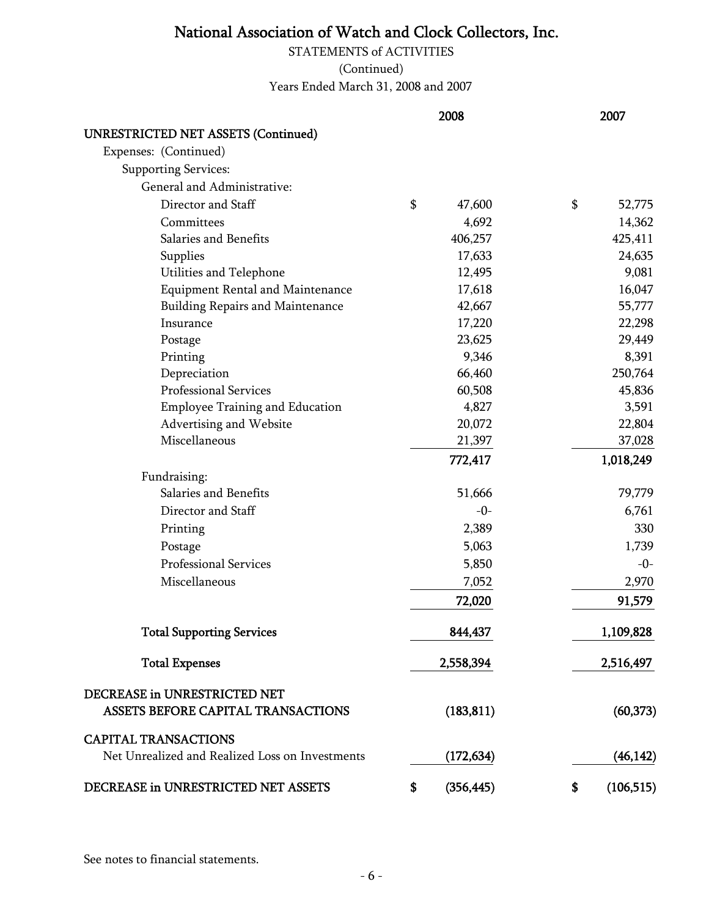STATEMENTS of ACTIVITIES

(Continued)

Years Ended March 31, 2008 and 2007

|                                                 | 2008             | 2007             |
|-------------------------------------------------|------------------|------------------|
| <b>UNRESTRICTED NET ASSETS (Continued)</b>      |                  |                  |
| Expenses: (Continued)                           |                  |                  |
| <b>Supporting Services:</b>                     |                  |                  |
| General and Administrative:                     |                  |                  |
| Director and Staff                              | \$<br>47,600     | \$<br>52,775     |
| Committees                                      | 4,692            | 14,362           |
| Salaries and Benefits                           | 406,257          | 425,411          |
| Supplies                                        | 17,633           | 24,635           |
| Utilities and Telephone                         | 12,495           | 9,081            |
| <b>Equipment Rental and Maintenance</b>         | 17,618           | 16,047           |
| <b>Building Repairs and Maintenance</b>         | 42,667           | 55,777           |
| Insurance                                       | 17,220           | 22,298           |
| Postage                                         | 23,625           | 29,449           |
| Printing                                        | 9,346            | 8,391            |
| Depreciation                                    | 66,460           | 250,764          |
| Professional Services                           | 60,508           | 45,836           |
| <b>Employee Training and Education</b>          | 4,827            | 3,591            |
| Advertising and Website                         | 20,072           | 22,804           |
| Miscellaneous                                   | 21,397           | 37,028           |
|                                                 | 772,417          | 1,018,249        |
| Fundraising:                                    |                  |                  |
| Salaries and Benefits                           | 51,666           | 79,779           |
| Director and Staff                              | $-0-$            | 6,761            |
| Printing                                        | 2,389            | 330              |
| Postage                                         | 5,063            | 1,739            |
| Professional Services                           | 5,850            | $-0-$            |
| Miscellaneous                                   | 7,052            | 2,970            |
|                                                 | 72,020           | 91,579           |
| <b>Total Supporting Services</b>                | 844,437          | 1,109,828        |
| <b>Total Expenses</b>                           | 2,558,394        | 2,516,497        |
|                                                 |                  |                  |
| DECREASE in UNRESTRICTED NET                    |                  |                  |
| ASSETS BEFORE CAPITAL TRANSACTIONS              | (183, 811)       | (60, 373)        |
| <b>CAPITAL TRANSACTIONS</b>                     |                  |                  |
| Net Unrealized and Realized Loss on Investments | (172, 634)       | (46, 142)        |
| DECREASE in UNRESTRICTED NET ASSETS             | \$<br>(356, 445) | \$<br>(106, 515) |

See notes to financial statements.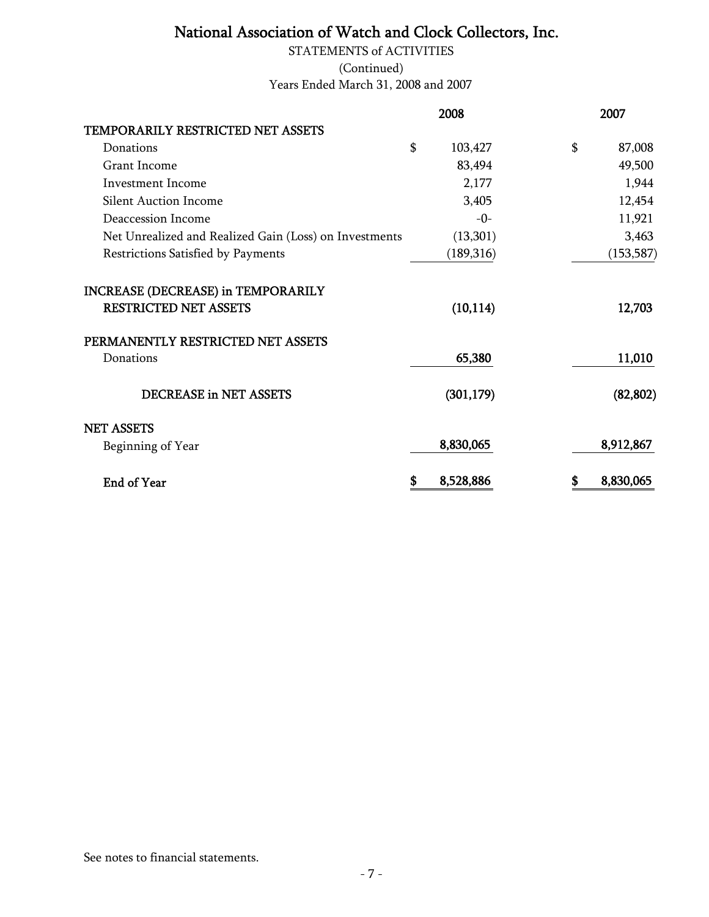Years Ended March 31, 2008 and 2007 STATEMENTS of ACTIVITIES (Continued)

| 2008                                                   |                 | 2007            |
|--------------------------------------------------------|-----------------|-----------------|
| TEMPORARILY RESTRICTED NET ASSETS                      |                 |                 |
| Donations                                              | \$<br>103,427   | 87,008<br>\$    |
| Grant Income                                           | 83,494          | 49,500          |
| <b>Investment Income</b>                               | 2,177           | 1,944           |
| <b>Silent Auction Income</b>                           | 3,405           | 12,454          |
| Deaccession Income                                     | $-0-$           | 11,921          |
| Net Unrealized and Realized Gain (Loss) on Investments | (13,301)        | 3,463           |
| Restrictions Satisfied by Payments                     | (189,316)       | (153, 587)      |
| <b>INCREASE (DECREASE) in TEMPORARILY</b>              |                 |                 |
| <b>RESTRICTED NET ASSETS</b>                           | (10, 114)       | 12,703          |
| PERMANENTLY RESTRICTED NET ASSETS                      |                 |                 |
| Donations                                              | 65,380          | 11,010          |
| <b>DECREASE in NET ASSETS</b>                          | (301, 179)      | (82, 802)       |
| <b>NET ASSETS</b>                                      |                 |                 |
| Beginning of Year                                      | 8,830,065       | 8,912,867       |
| End of Year                                            | 8,528,886<br>\$ | \$<br>8,830,065 |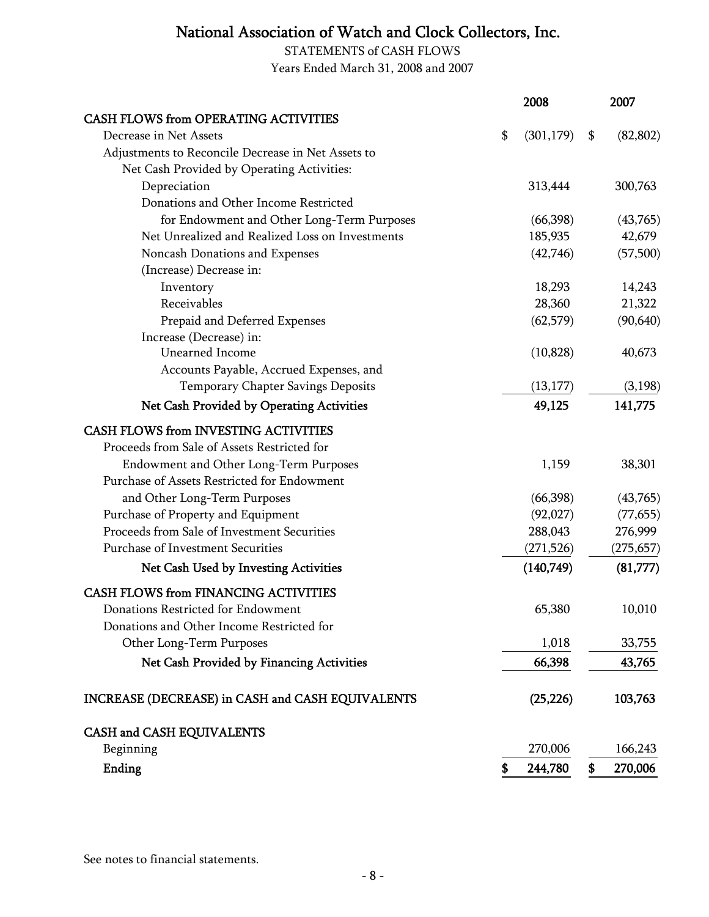STATEMENTS of CASH FLOWS Years Ended March 31, 2008 and 2007

|                                                    | 2008             | 2007            |
|----------------------------------------------------|------------------|-----------------|
| <b>CASH FLOWS from OPERATING ACTIVITIES</b>        |                  |                 |
| Decrease in Net Assets                             | \$<br>(301, 179) | \$<br>(82, 802) |
| Adjustments to Reconcile Decrease in Net Assets to |                  |                 |
| Net Cash Provided by Operating Activities:         |                  |                 |
| Depreciation                                       | 313,444          | 300,763         |
| Donations and Other Income Restricted              |                  |                 |
| for Endowment and Other Long-Term Purposes         | (66,398)         | (43,765)        |
| Net Unrealized and Realized Loss on Investments    | 185,935          | 42,679          |
| Noncash Donations and Expenses                     | (42,746)         | (57,500)        |
| (Increase) Decrease in:                            |                  |                 |
| Inventory                                          | 18,293           | 14,243          |
| Receivables                                        | 28,360           | 21,322          |
| Prepaid and Deferred Expenses                      | (62, 579)        | (90, 640)       |
| Increase (Decrease) in:                            |                  |                 |
| Unearned Income                                    | (10, 828)        | 40,673          |
| Accounts Payable, Accrued Expenses, and            |                  |                 |
| Temporary Chapter Savings Deposits                 | (13, 177)        | (3,198)         |
| Net Cash Provided by Operating Activities          | 49,125           | 141,775         |
| <b>CASH FLOWS from INVESTING ACTIVITIES</b>        |                  |                 |
| Proceeds from Sale of Assets Restricted for        |                  |                 |
| Endowment and Other Long-Term Purposes             | 1,159            | 38,301          |
| Purchase of Assets Restricted for Endowment        |                  |                 |
| and Other Long-Term Purposes                       | (66,398)         | (43,765)        |
| Purchase of Property and Equipment                 | (92,027)         | (77, 655)       |
| Proceeds from Sale of Investment Securities        | 288,043          | 276,999         |
| <b>Purchase of Investment Securities</b>           | (271, 526)       | (275, 657)      |
| Net Cash Used by Investing Activities              | (140,749)        | (81,777)        |
| <b>CASH FLOWS from FINANCING ACTIVITIES</b>        |                  |                 |
| Donations Restricted for Endowment                 | 65,380           | 10,010          |
| Donations and Other Income Restricted for          |                  |                 |
| Other Long-Term Purposes                           | 1,018            | 33,755          |
| Net Cash Provided by Financing Activities          | 66,398           | 43,765          |
| INCREASE (DECREASE) in CASH and CASH EQUIVALENTS   | (25, 226)        | 103,763         |
| CASH and CASH EQUIVALENTS                          |                  |                 |
| Beginning                                          | 270,006          | 166,243         |
| Ending                                             | \$<br>244,780    | \$<br>270,006   |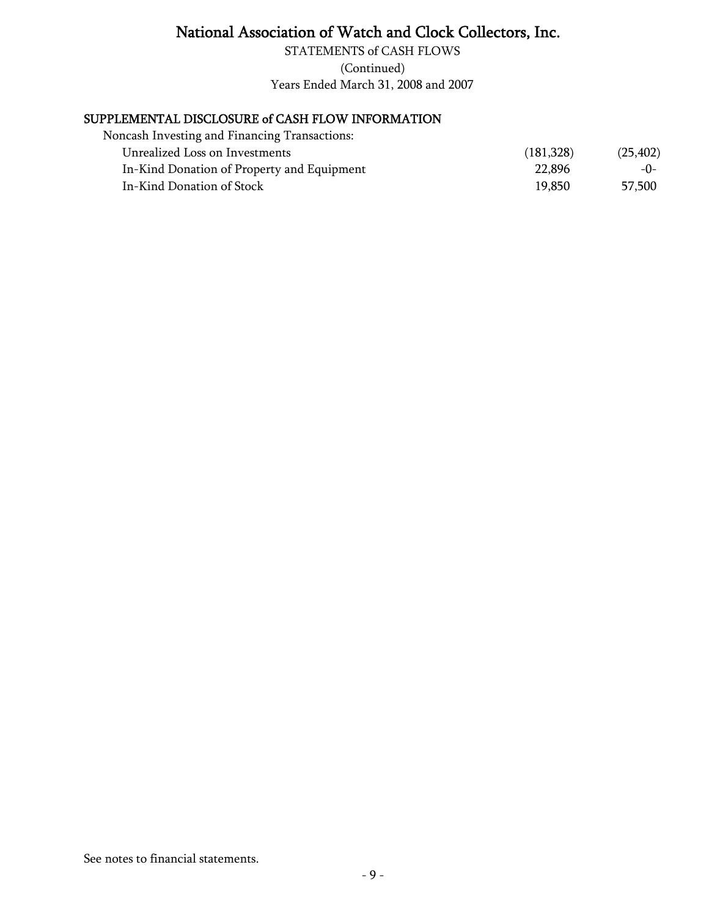(Continued) Years Ended March 31, 2008 and 2007 STATEMENTS of CASH FLOWS

### SUPPLEMENTAL DISCLOSURE of CASH FLOW INFORMATION

| Noncash Investing and Financing Transactions: |           |           |
|-----------------------------------------------|-----------|-----------|
| Unrealized Loss on Investments                | (181,328) | (25, 402) |
| In-Kind Donation of Property and Equipment    | 22.896    | $-0-$     |
| In-Kind Donation of Stock                     | 19.850    | 57,500    |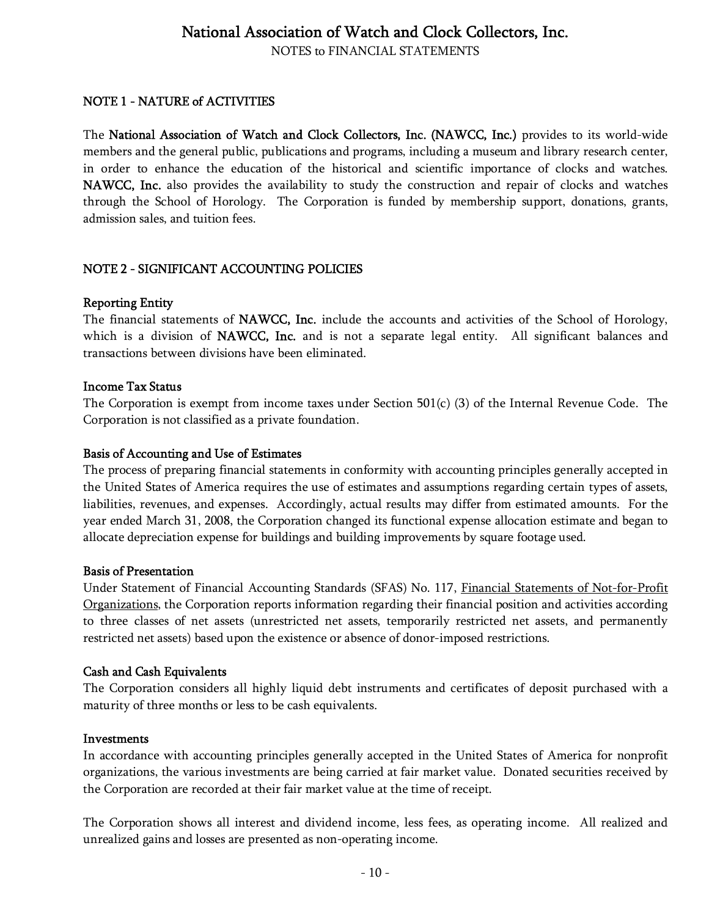NOTES to FINANCIAL STATEMENTS

#### NOTE 1 - NATURE of ACTIVITIES

The National Association of Watch and Clock Collectors, Inc. (NAWCC, Inc.) provides to its world-wide members and the general public, publications and programs, including a museum and library research center, in order to enhance the education of the historical and scientific importance of clocks and watches. NAWCC, Inc. also provides the availability to study the construction and repair of clocks and watches through the School of Horology. The Corporation is funded by membership support, donations, grants, admission sales, and tuition fees.

#### NOTE 2 - SIGNIFICANT ACCOUNTING POLICIES

#### Reporting Entity

The financial statements of NAWCC, Inc. include the accounts and activities of the School of Horology, which is a division of NAWCC, Inc. and is not a separate legal entity. All significant balances and transactions between divisions have been eliminated.

#### Income Tax Status

The Corporation is exempt from income taxes under Section 501(c) (3) of the Internal Revenue Code. The Corporation is not classified as a private foundation.

#### Basis of Accounting and Use of Estimates

The process of preparing financial statements in conformity with accounting principles generally accepted in the United States of America requires the use of estimates and assumptions regarding certain types of assets, liabilities, revenues, and expenses. Accordingly, actual results may differ from estimated amounts. For the year ended March 31, 2008, the Corporation changed its functional expense allocation estimate and began to allocate depreciation expense for buildings and building improvements by square footage used.

#### Basis of Presentation

Under Statement of Financial Accounting Standards (SFAS) No. 117, Financial Statements of Not-for-Profit Organizations, the Corporation reports information regarding their financial position and activities according to three classes of net assets (unrestricted net assets, temporarily restricted net assets, and permanently restricted net assets) based upon the existence or absence of donor-imposed restrictions.

#### Cash and Cash Equivalents

The Corporation considers all highly liquid debt instruments and certificates of deposit purchased with a maturity of three months or less to be cash equivalents.

#### Investments

In accordance with accounting principles generally accepted in the United States of America for nonprofit organizations, the various investments are being carried at fair market value. Donated securities received by the Corporation are recorded at their fair market value at the time of receipt.

The Corporation shows all interest and dividend income, less fees, as operating income. All realized and unrealized gains and losses are presented as non-operating income.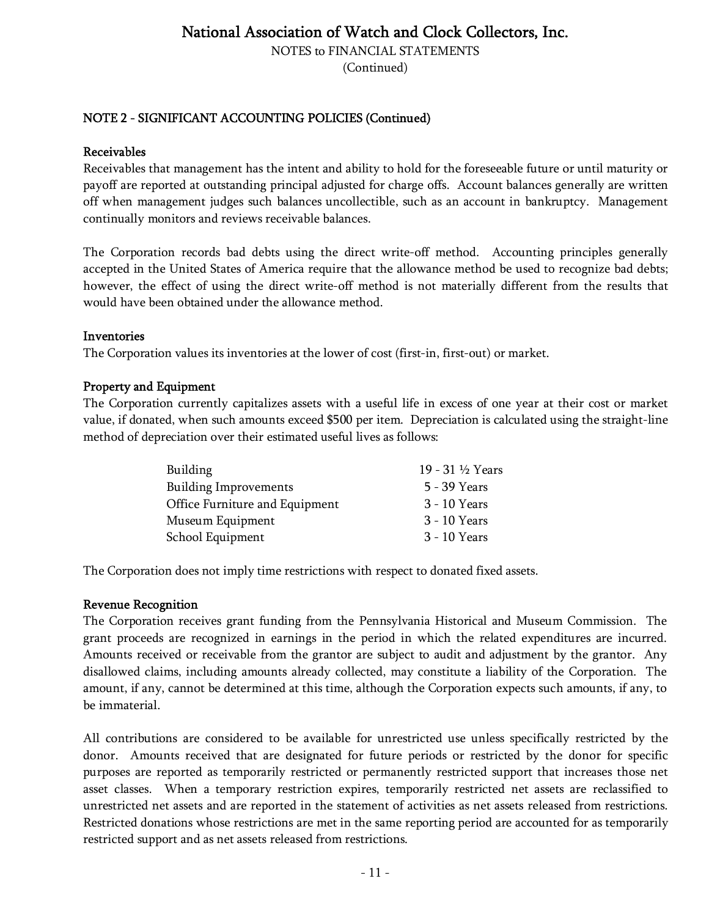NOTES to FINANCIAL STATEMENTS

(Continued)

#### NOTE 2 - SIGNIFICANT ACCOUNTING POLICIES (Continued)

#### Receivables

Receivables that management has the intent and ability to hold for the foreseeable future or until maturity or payoff are reported at outstanding principal adjusted for charge offs. Account balances generally are written off when management judges such balances uncollectible, such as an account in bankruptcy. Management continually monitors and reviews receivable balances.

The Corporation records bad debts using the direct write-off method. Accounting principles generally accepted in the United States of America require that the allowance method be used to recognize bad debts; however, the effect of using the direct write-off method is not materially different from the results that would have been obtained under the allowance method.

#### Inventories

The Corporation values its inventories at the lower of cost (first-in, first-out) or market.

#### Property and Equipment

The Corporation currently capitalizes assets with a useful life in excess of one year at their cost or market value, if donated, when such amounts exceed \$500 per item. Depreciation is calculated using the straight-line method of depreciation over their estimated useful lives as follows:

| Building                       | 19 - 31 ½ Years |
|--------------------------------|-----------------|
| <b>Building Improvements</b>   | 5 - 39 Years    |
| Office Furniture and Equipment | 3 - 10 Years    |
| Museum Equipment               | 3 - 10 Years    |
| School Equipment               | 3 - 10 Years    |

The Corporation does not imply time restrictions with respect to donated fixed assets.

#### Revenue Recognition

The Corporation receives grant funding from the Pennsylvania Historical and Museum Commission. The grant proceeds are recognized in earnings in the period in which the related expenditures are incurred. Amounts received or receivable from the grantor are subject to audit and adjustment by the grantor. Any disallowed claims, including amounts already collected, may constitute a liability of the Corporation. The amount, if any, cannot be determined at this time, although the Corporation expects such amounts, if any, to be immaterial.

All contributions are considered to be available for unrestricted use unless specifically restricted by the donor. Amounts received that are designated for future periods or restricted by the donor for specific purposes are reported as temporarily restricted or permanently restricted support that increases those net asset classes. When a temporary restriction expires, temporarily restricted net assets are reclassified to unrestricted net assets and are reported in the statement of activities as net assets released from restrictions. Restricted donations whose restrictions are met in the same reporting period are accounted for as temporarily restricted support and as net assets released from restrictions.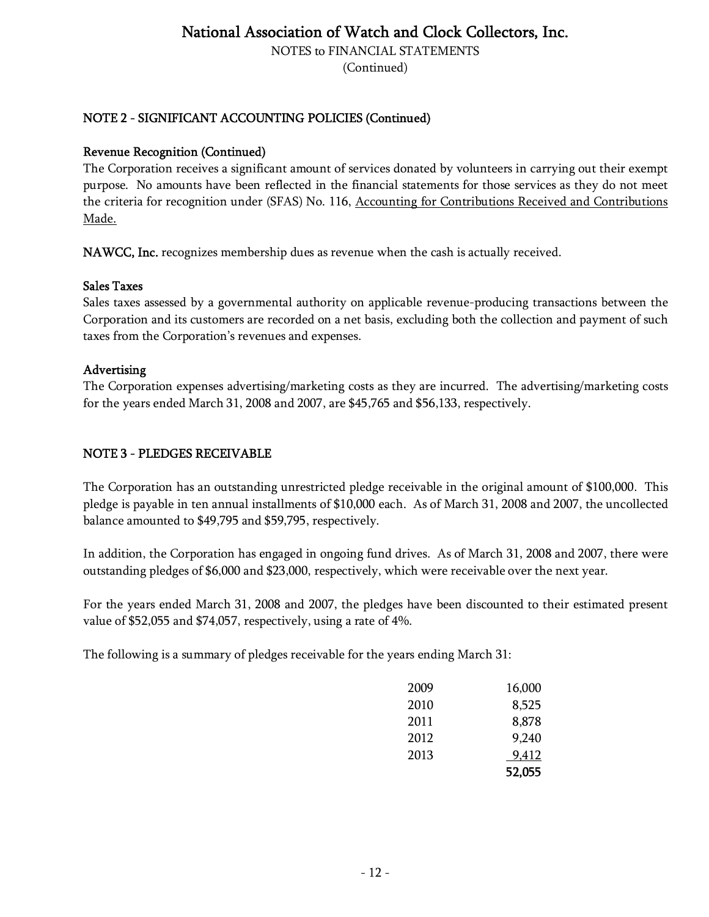NOTES to FINANCIAL STATEMENTS

(Continued)

#### NOTE 2 - SIGNIFICANT ACCOUNTING POLICIES (Continued)

#### Revenue Recognition (Continued)

The Corporation receives a significant amount of services donated by volunteers in carrying out their exempt purpose. No amounts have been reflected in the financial statements for those services as they do not meet the criteria for recognition under (SFAS) No. 116, Accounting for Contributions Received and Contributions Made.

NAWCC, Inc. recognizes membership dues as revenue when the cash is actually received.

#### Sales Taxes

Sales taxes assessed by a governmental authority on applicable revenue-producing transactions between the Corporation and its customers are recorded on a net basis, excluding both the collection and payment of such taxes from the Corporation's revenues and expenses.

#### Advertising

The Corporation expenses advertising/marketing costs as they are incurred. The advertising/marketing costs for the years ended March 31, 2008 and 2007, are \$45,765 and \$56,133, respectively.

#### NOTE 3 - PLEDGES RECEIVABLE

The Corporation has an outstanding unrestricted pledge receivable in the original amount of \$100,000. This pledge is payable in ten annual installments of \$10,000 each. As of March 31, 2008 and 2007, the uncollected balance amounted to \$49,795 and \$59,795, respectively.

In addition, the Corporation has engaged in ongoing fund drives. As of March 31, 2008 and 2007, there were outstanding pledges of \$6,000 and \$23,000, respectively, which were receivable over the next year.

For the years ended March 31, 2008 and 2007, the pledges have been discounted to their estimated present value of \$52,055 and \$74,057, respectively, using a rate of 4%.

The following is a summary of pledges receivable for the years ending March 31:

| 2009 | 16,000 |
|------|--------|
| 2010 | 8,525  |
| 2011 | 8,878  |
| 2012 | 9,240  |
| 2013 | 9,412  |
|      | 52,055 |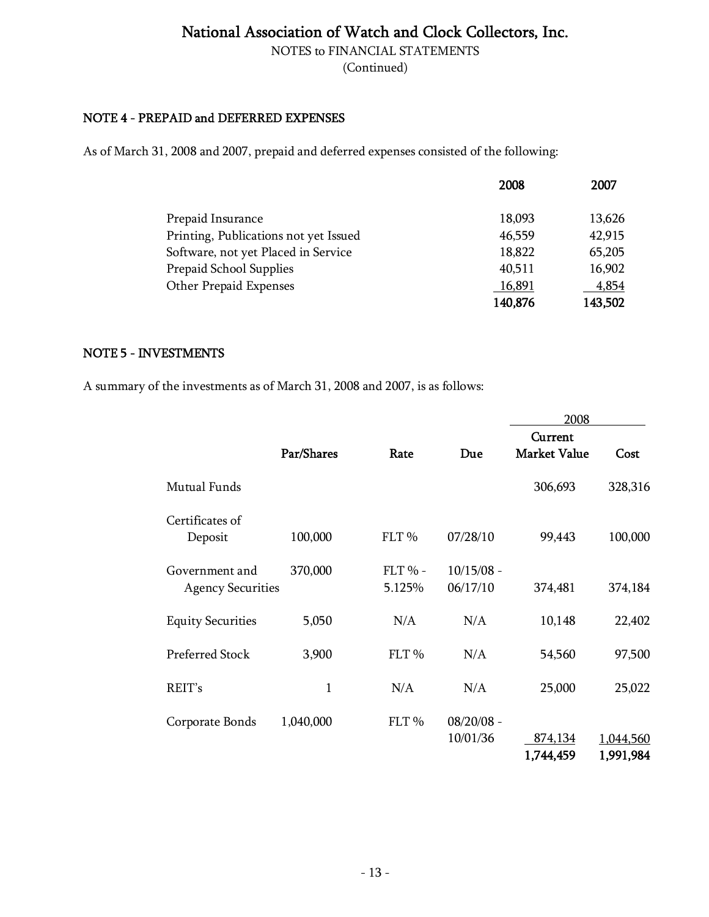NOTES to FINANCIAL STATEMENTS

(Continued)

#### NOTE 4 - PREPAID and DEFERRED EXPENSES

As of March 31, 2008 and 2007, prepaid and deferred expenses consisted of the following:

|                                       | 2008    | 2007    |
|---------------------------------------|---------|---------|
| Prepaid Insurance                     | 18,093  | 13,626  |
| Printing, Publications not yet Issued | 46,559  | 42,915  |
| Software, not yet Placed in Service   | 18,822  | 65,205  |
| Prepaid School Supplies               | 40,511  | 16,902  |
| Other Prepaid Expenses                | 16,891  | 4,854   |
|                                       | 140,876 | 143,502 |

#### NOTE 5 - INVESTMENTS

A summary of the investments as of March 31, 2008 and 2007, is as follows:

|                                            |            |                     |                          | 2008                           |                        |
|--------------------------------------------|------------|---------------------|--------------------------|--------------------------------|------------------------|
|                                            | Par/Shares | Rate                | Due                      | Current<br><b>Market Value</b> | Cost                   |
| Mutual Funds                               |            |                     |                          | 306,693                        | 328,316                |
| Certificates of<br>Deposit                 | 100,000    | FLT <sub>%</sub>    | 07/28/10                 | 99,443                         | 100,000                |
| Government and<br><b>Agency Securities</b> | 370,000    | $FLT$ % -<br>5.125% | $10/15/08$ -<br>06/17/10 | 374,481                        | 374,184                |
| <b>Equity Securities</b>                   | 5,050      | N/A                 | N/A                      | 10,148                         | 22,402                 |
| Preferred Stock                            | 3,900      | FLT <sub>%</sub>    | N/A                      | 54,560                         | 97,500                 |
| REIT's                                     | 1          | N/A                 | N/A                      | 25,000                         | 25,022                 |
| Corporate Bonds                            | 1,040,000  | FLT <sub>%</sub>    | $08/20/08 -$<br>10/01/36 | 874,134<br>1,744,459           | 1,044,560<br>1,991,984 |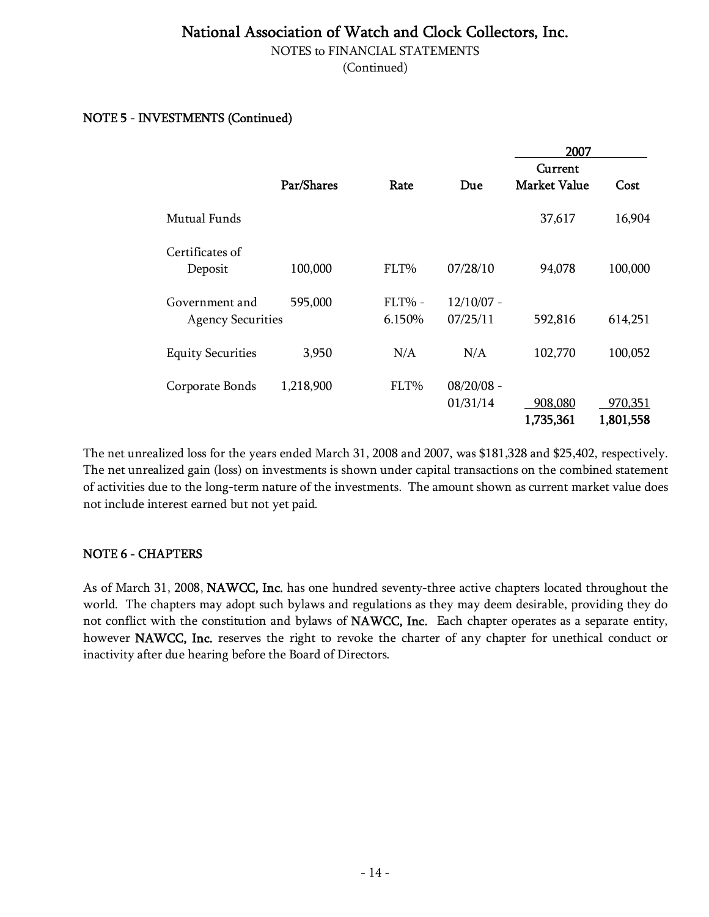NOTES to FINANCIAL STATEMENTS

(Continued)

#### NOTE 5 - INVESTMENTS (Continued)

|                                            |            |                  |                          | 2007                           |                      |
|--------------------------------------------|------------|------------------|--------------------------|--------------------------------|----------------------|
|                                            | Par/Shares | Rate             | Due                      | Current<br><b>Market Value</b> | Cost                 |
| Mutual Funds                               |            |                  |                          | 37,617                         | 16,904               |
| Certificates of<br>Deposit                 | 100,000    | FLT%             | 07/28/10                 | 94,078                         | 100,000              |
| Government and<br><b>Agency Securities</b> | 595,000    | FLT% -<br>6.150% | $12/10/07 -$<br>07/25/11 | 592,816                        | 614,251              |
| <b>Equity Securities</b>                   | 3,950      | N/A              | N/A                      | 102,770                        | 100,052              |
| Corporate Bonds                            | 1,218,900  | FLT%             | $08/20/08$ -<br>01/31/14 | 908,080<br>1,735,361           | 970,351<br>1,801,558 |

The net unrealized loss for the years ended March 31, 2008 and 2007, was \$181,328 and \$25,402, respectively. The net unrealized gain (loss) on investments is shown under capital transactions on the combined statement of activities due to the long-term nature of the investments. The amount shown as current market value does not include interest earned but not yet paid.

#### NOTE 6 - CHAPTERS

As of March 31, 2008, NAWCC, Inc. has one hundred seventy-three active chapters located throughout the world. The chapters may adopt such bylaws and regulations as they may deem desirable, providing they do not conflict with the constitution and bylaws of NAWCC, Inc. Each chapter operates as a separate entity, however NAWCC, Inc. reserves the right to revoke the charter of any chapter for unethical conduct or inactivity after due hearing before the Board of Directors.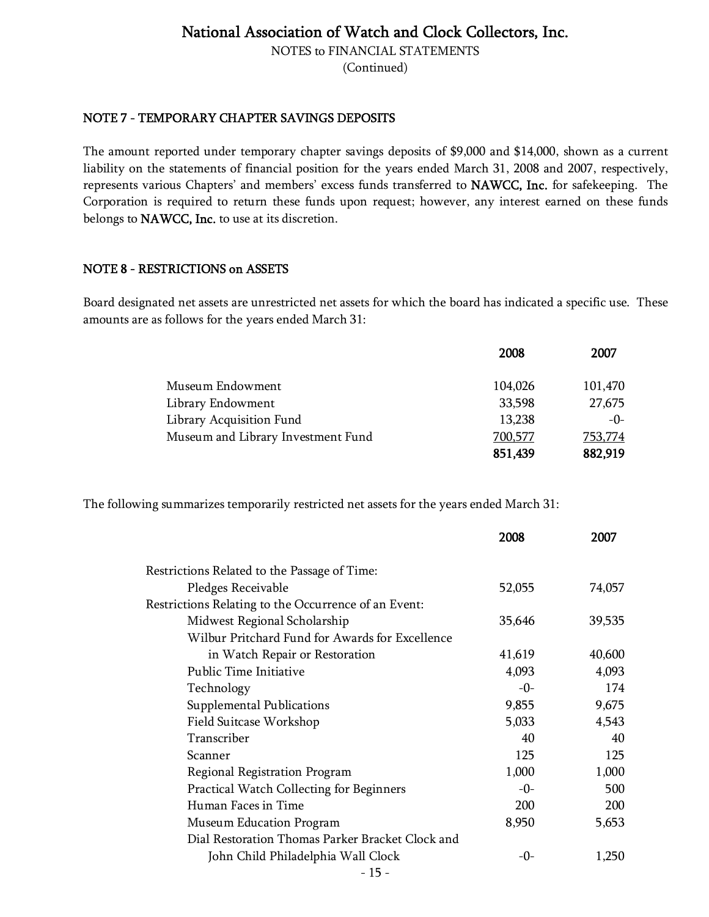NOTES to FINANCIAL STATEMENTS

(Continued)

#### NOTE 7 - TEMPORARY CHAPTER SAVINGS DEPOSITS

The amount reported under temporary chapter savings deposits of \$9,000 and \$14,000, shown as a current liability on the statements of financial position for the years ended March 31, 2008 and 2007, respectively, represents various Chapters' and members' excess funds transferred to NAWCC, Inc. for safekeeping. The Corporation is required to return these funds upon request; however, any interest earned on these funds belongs to NAWCC, Inc. to use at its discretion.

#### NOTE 8 - RESTRICTIONS on ASSETS

Board designated net assets are unrestricted net assets for which the board has indicated a specific use. These amounts are as follows for the years ended March 31:

|                                    | 2008    | 2007    |
|------------------------------------|---------|---------|
| Museum Endowment                   | 104,026 | 101,470 |
| Library Endowment                  | 33,598  | 27,675  |
| Library Acquisition Fund           | 13,238  | $-0-$   |
| Museum and Library Investment Fund | 700,577 | 753,774 |
|                                    | 851,439 | 882,919 |

The following summarizes temporarily restricted net assets for the years ended March 31:

|                                                      | 2008   | 2007   |
|------------------------------------------------------|--------|--------|
| Restrictions Related to the Passage of Time:         |        |        |
| Pledges Receivable                                   | 52,055 | 74,057 |
| Restrictions Relating to the Occurrence of an Event: |        |        |
| Midwest Regional Scholarship                         | 35,646 | 39,535 |
| Wilbur Pritchard Fund for Awards for Excellence      |        |        |
| in Watch Repair or Restoration                       | 41,619 | 40,600 |
| Public Time Initiative                               | 4,093  | 4,093  |
| Technology                                           | $-0-$  | 174    |
| Supplemental Publications                            | 9,855  | 9,675  |
| Field Suitcase Workshop                              | 5,033  | 4,543  |
| Transcriber                                          | 40     | 40     |
| Scanner                                              | 125    | 125    |
| Regional Registration Program                        | 1,000  | 1,000  |
| Practical Watch Collecting for Beginners             | $-0-$  | 500    |
| Human Faces in Time                                  | 200    | 200    |
| Museum Education Program                             | 8,950  | 5,653  |
| Dial Restoration Thomas Parker Bracket Clock and     |        |        |
| John Child Philadelphia Wall Clock                   | -0-    | 1,250  |
| - 15 -                                               |        |        |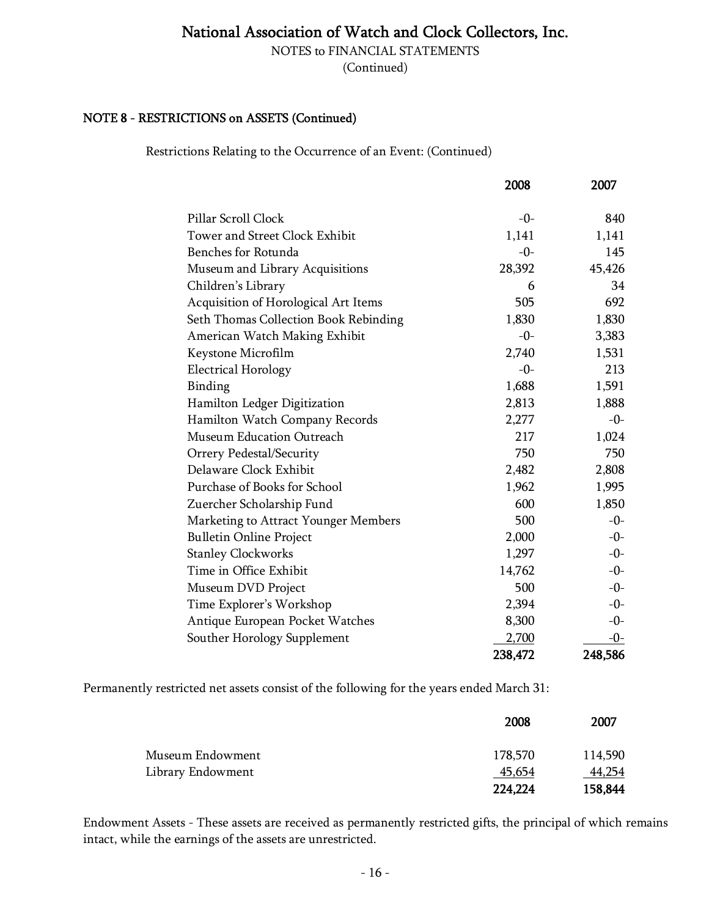NOTES to FINANCIAL STATEMENTS

(Continued)

#### NOTE 8 - RESTRICTIONS on ASSETS (Continued)

Restrictions Relating to the Occurrence of an Event: (Continued)

|                                       | 2008    | 2007    |
|---------------------------------------|---------|---------|
| Pillar Scroll Clock                   | $-0-$   | 840     |
| Tower and Street Clock Exhibit        | 1,141   | 1,141   |
| <b>Benches for Rotunda</b>            | $-0-$   | 145     |
| Museum and Library Acquisitions       | 28,392  | 45,426  |
| Children's Library                    | 6       | 34      |
| Acquisition of Horological Art Items  | 505     | 692     |
| Seth Thomas Collection Book Rebinding | 1,830   | 1,830   |
| American Watch Making Exhibit         | $-0-$   | 3,383   |
| Keystone Microfilm                    | 2,740   | 1,531   |
| <b>Electrical Horology</b>            | $-0-$   | 213     |
| Binding                               | 1,688   | 1,591   |
| Hamilton Ledger Digitization          | 2,813   | 1,888   |
| Hamilton Watch Company Records        | 2,277   | $-0-$   |
| Museum Education Outreach             | 217     | 1,024   |
| Orrery Pedestal/Security              | 750     | 750     |
| Delaware Clock Exhibit                | 2,482   | 2,808   |
| Purchase of Books for School          | 1,962   | 1,995   |
| Zuercher Scholarship Fund             | 600     | 1,850   |
| Marketing to Attract Younger Members  | 500     | $-0-$   |
| <b>Bulletin Online Project</b>        | 2,000   | $-0-$   |
| <b>Stanley Clockworks</b>             | 1,297   | $-0-$   |
| Time in Office Exhibit                | 14,762  | $-0-$   |
| Museum DVD Project                    | 500     | $-0-$   |
| Time Explorer's Workshop              | 2,394   | $-0-$   |
| Antique European Pocket Watches       | 8,300   | $-0-$   |
| Souther Horology Supplement           | 2,700   | $-0-$   |
|                                       | 238,472 | 248,586 |

Permanently restricted net assets consist of the following for the years ended March 31:

|                   | 2008    | 2007    |
|-------------------|---------|---------|
| Museum Endowment  | 178,570 | 114,590 |
| Library Endowment | 45,654  | 44,254  |
|                   | 224,224 | 158,844 |

Endowment Assets - These assets are received as permanently restricted gifts, the principal of which remains intact, while the earnings of the assets are unrestricted.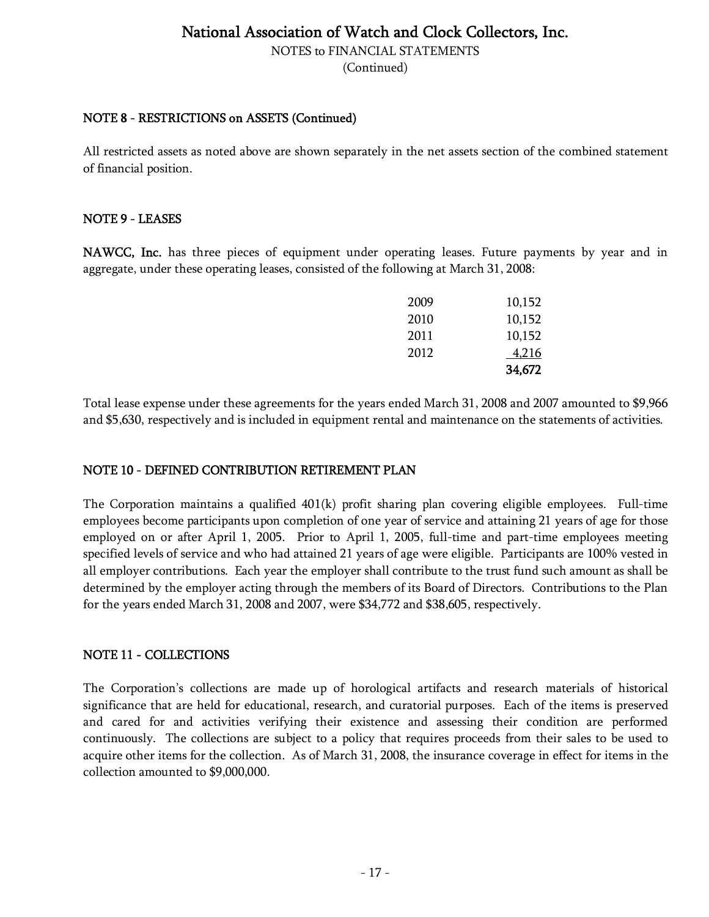NOTES to FINANCIAL STATEMENTS

(Continued)

#### NOTE 8 - RESTRICTIONS on ASSETS (Continued)

All restricted assets as noted above are shown separately in the net assets section of the combined statement of financial position.

#### NOTE 9 - LEASES

NAWCC, Inc. has three pieces of equipment under operating leases. Future payments by year and in aggregate, under these operating leases, consisted of the following at March 31, 2008:

|      | 4,216  |
|------|--------|
| 2011 | 10,152 |
| 2010 | 10,152 |
| 2009 | 10,152 |
|      | 2012   |

Total lease expense under these agreements for the years ended March 31, 2008 and 2007 amounted to \$9,966 and \$5,630, respectively and is included in equipment rental and maintenance on the statements of activities.

#### NOTE 10 - DEFINED CONTRIBUTION RETIREMENT PLAN

The Corporation maintains a qualified  $401(k)$  profit sharing plan covering eligible employees. Full-time employees become participants upon completion of one year of service and attaining 21 years of age for those employed on or after April 1, 2005. Prior to April 1, 2005, full-time and part-time employees meeting specified levels of service and who had attained 21 years of age were eligible. Participants are 100% vested in all employer contributions. Each year the employer shall contribute to the trust fund such amount as shall be determined by the employer acting through the members of its Board of Directors. Contributions to the Plan for the years ended March 31, 2008 and 2007, were \$34,772 and \$38,605, respectively.

#### NOTE 11 - COLLECTIONS

The Corporation's collections are made up of horological artifacts and research materials of historical significance that are held for educational, research, and curatorial purposes. Each of the items is preserved and cared for and activities verifying their existence and assessing their condition are performed continuously. The collections are subject to a policy that requires proceeds from their sales to be used to acquire other items for the collection. As of March 31, 2008, the insurance coverage in effect for items in the collection amounted to \$9,000,000.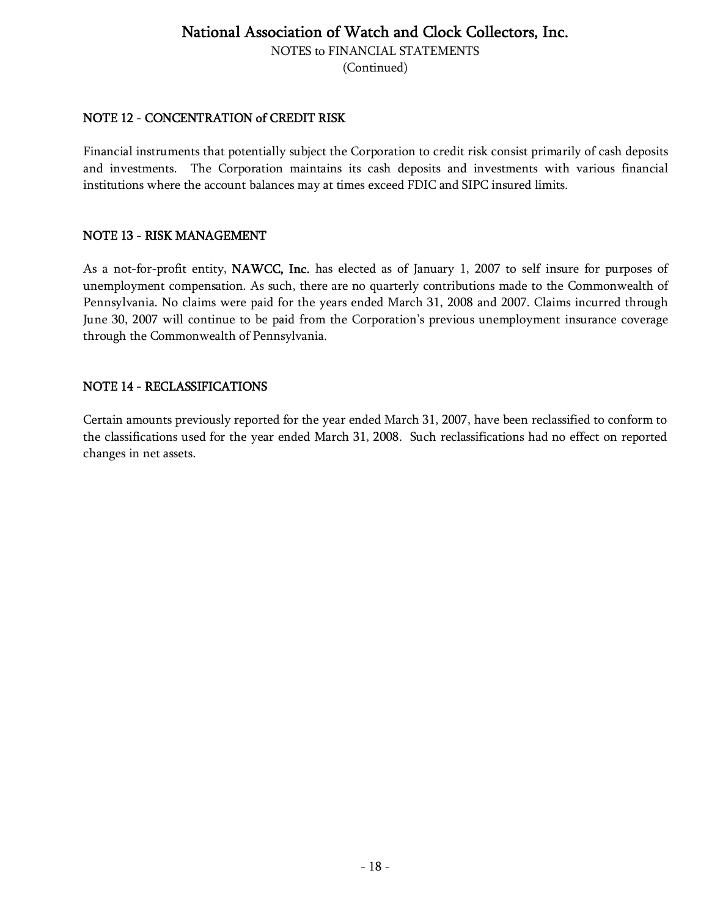NOTES to FINANCIAL STATEMENTS

(Continued)

#### NOTE 12 - CONCENTRATION of CREDIT RISK

Financial instruments that potentially subject the Corporation to credit risk consist primarily of cash deposits and investments. The Corporation maintains its cash deposits and investments with various financial institutions where the account balances may at times exceed FDIC and SIPC insured limits.

#### NOTE 13 - RISK MANAGEMENT

As a not-for-profit entity, NAWCC, Inc. has elected as of January 1, 2007 to self insure for purposes of unemployment compensation. As such, there are no quarterly contributions made to the Commonwealth of Pennsylvania. No claims were paid for the years ended March 31, 2008 and 2007. Claims incurred through June 30, 2007 will continue to be paid from the Corporation's previous unemployment insurance coverage through the Commonwealth of Pennsylvania.

#### NOTE 14 - RECLASSIFICATIONS

Certain amounts previously reported for the year ended March 31, 2007, have been reclassified to conform to the classifications used for the year ended March 31, 2008. Such reclassifications had no effect on reported changes in net assets.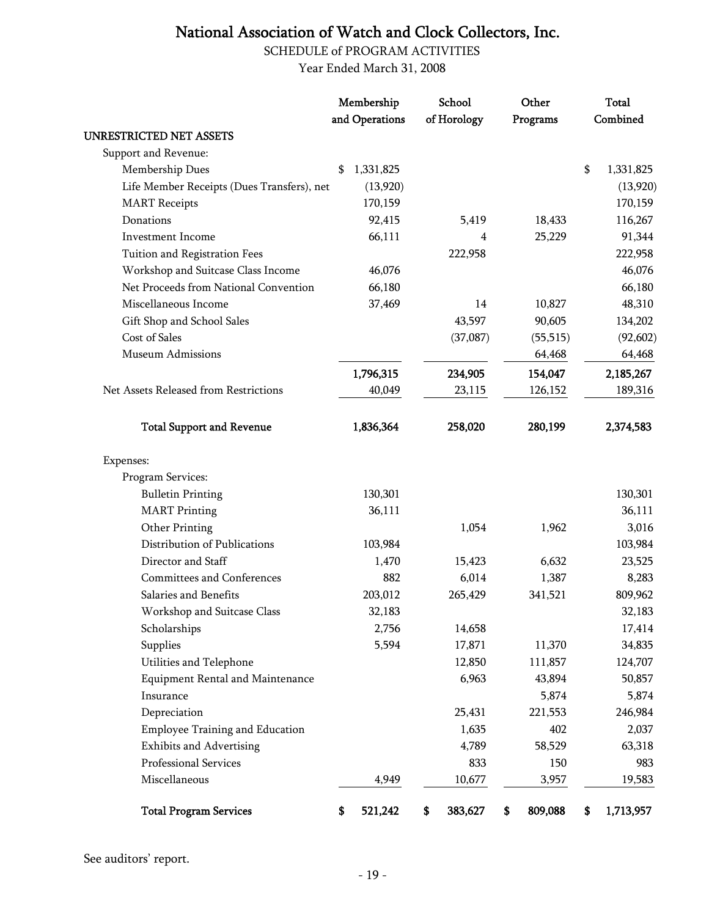SCHEDULE of PROGRAM ACTIVITIES

Year Ended March 31, 2008

|                                            | Membership<br>and Operations | School<br>of Horology | Other<br>Programs | <b>Total</b><br>Combined |
|--------------------------------------------|------------------------------|-----------------------|-------------------|--------------------------|
| <b>UNRESTRICTED NET ASSETS</b>             |                              |                       |                   |                          |
| Support and Revenue:                       |                              |                       |                   |                          |
| Membership Dues                            | 1,331,825<br>\$              |                       |                   | \$<br>1,331,825          |
| Life Member Receipts (Dues Transfers), net | (13,920)                     |                       |                   | (13,920)                 |
| <b>MART</b> Receipts                       | 170,159                      |                       |                   | 170,159                  |
| Donations                                  | 92,415                       | 5,419                 | 18,433            | 116,267                  |
| <b>Investment Income</b>                   | 66,111                       | 4                     | 25,229            | 91,344                   |
| Tuition and Registration Fees              |                              | 222,958               |                   | 222,958                  |
| Workshop and Suitcase Class Income         | 46,076                       |                       |                   | 46,076                   |
| Net Proceeds from National Convention      | 66,180                       |                       |                   | 66,180                   |
| Miscellaneous Income                       | 37,469                       | 14                    | 10,827            | 48,310                   |
| Gift Shop and School Sales                 |                              | 43,597                | 90,605            | 134,202                  |
| Cost of Sales                              |                              | (37,087)              | (55, 515)         | (92, 602)                |
| <b>Museum Admissions</b>                   |                              |                       | 64,468            | 64,468                   |
|                                            | 1,796,315                    | 234,905               | 154,047           | 2,185,267                |
| Net Assets Released from Restrictions      | 40,049                       | 23,115                | 126,152           | 189,316                  |
| <b>Total Support and Revenue</b>           | 1,836,364                    | 258,020               | 280,199           | 2,374,583                |
| Expenses:                                  |                              |                       |                   |                          |
| Program Services:                          |                              |                       |                   |                          |
| <b>Bulletin Printing</b>                   | 130,301                      |                       |                   | 130,301                  |
| <b>MART</b> Printing                       | 36,111                       |                       |                   | 36,111                   |
| Other Printing                             |                              | 1,054                 | 1,962             | 3,016                    |
| Distribution of Publications               | 103,984                      |                       |                   | 103,984                  |
| Director and Staff                         | 1,470                        | 15,423                | 6,632             | 23,525                   |
| Committees and Conferences                 | 882                          | 6,014                 | 1,387             | 8,283                    |
| Salaries and Benefits                      | 203,012                      | 265,429               | 341,521           | 809,962                  |
| Workshop and Suitcase Class                | 32,183                       |                       |                   | 32,183                   |
| Scholarships                               | 2,756                        | 14,658                |                   | 17,414                   |
| Supplies                                   | 5,594                        | 17,871                | 11,370            | 34,835                   |
| Utilities and Telephone                    |                              | 12,850                | 111,857           | 124,707                  |
| <b>Equipment Rental and Maintenance</b>    |                              | 6,963                 | 43,894            | 50,857                   |
| Insurance                                  |                              |                       | 5,874             | 5,874                    |
| Depreciation                               |                              | 25,431                | 221,553           | 246,984                  |
| <b>Employee Training and Education</b>     |                              | 1,635                 | 402               | 2,037                    |
| <b>Exhibits and Advertising</b>            |                              | 4,789                 | 58,529            | 63,318                   |
| Professional Services                      |                              | 833                   | 150               | 983                      |
| Miscellaneous                              | 4,949                        | 10,677                | 3,957             | 19,583                   |
| <b>Total Program Services</b>              | 521,242<br>\$                | 383,627<br>\$         | 809,088<br>\$     | 1,713,957<br>S           |

See auditors' report.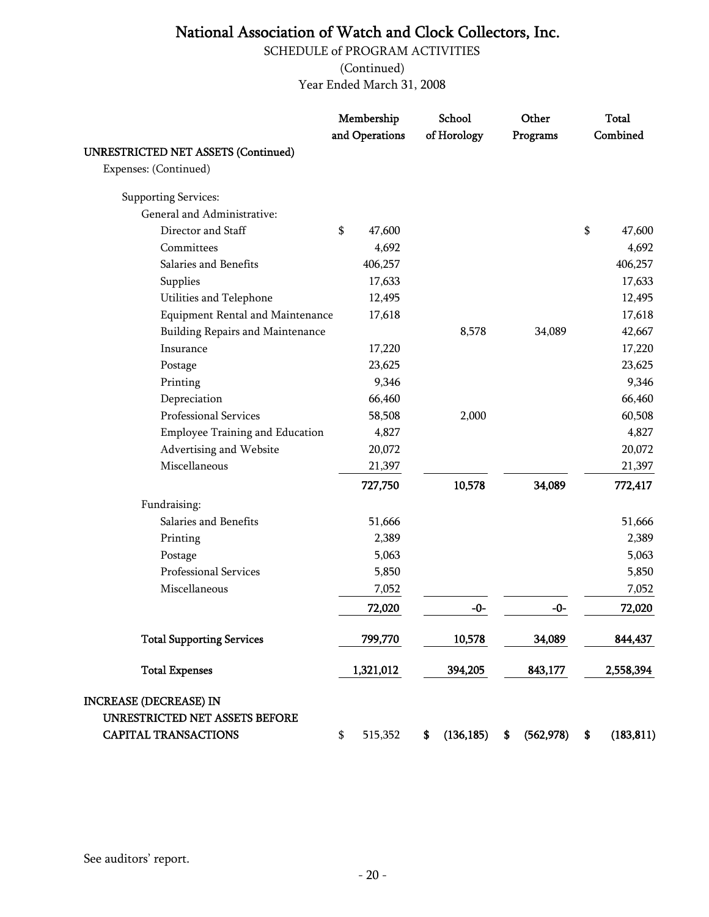SCHEDULE of PROGRAM ACTIVITIES

(Continued)

Year Ended March 31, 2008

|                                            | Membership     | School           | Other            | <b>Total</b>     |
|--------------------------------------------|----------------|------------------|------------------|------------------|
|                                            | and Operations | of Horology      | Programs         | Combined         |
| <b>UNRESTRICTED NET ASSETS (Continued)</b> |                |                  |                  |                  |
| Expenses: (Continued)                      |                |                  |                  |                  |
| <b>Supporting Services:</b>                |                |                  |                  |                  |
| General and Administrative:                |                |                  |                  |                  |
| Director and Staff                         | \$<br>47,600   |                  |                  | \$<br>47,600     |
| Committees                                 | 4,692          |                  |                  | 4,692            |
| Salaries and Benefits                      | 406,257        |                  |                  | 406,257          |
| Supplies                                   | 17,633         |                  |                  | 17,633           |
| Utilities and Telephone                    | 12,495         |                  |                  | 12,495           |
| <b>Equipment Rental and Maintenance</b>    | 17,618         |                  |                  | 17,618           |
| <b>Building Repairs and Maintenance</b>    |                | 8,578            | 34,089           | 42,667           |
| Insurance                                  | 17,220         |                  |                  | 17,220           |
| Postage                                    | 23,625         |                  |                  | 23,625           |
| Printing                                   | 9,346          |                  |                  | 9,346            |
| Depreciation                               | 66,460         |                  |                  | 66,460           |
| Professional Services                      | 58,508         | 2,000            |                  | 60,508           |
| <b>Employee Training and Education</b>     | 4,827          |                  |                  | 4,827            |
| Advertising and Website                    | 20,072         |                  |                  | 20,072           |
| Miscellaneous                              | 21,397         |                  |                  | 21,397           |
|                                            | 727,750        | 10,578           | 34,089           | 772,417          |
| Fundraising:                               |                |                  |                  |                  |
| Salaries and Benefits                      | 51,666         |                  |                  | 51,666           |
| Printing                                   | 2,389          |                  |                  | 2,389            |
| Postage                                    | 5,063          |                  |                  | 5,063            |
| Professional Services                      | 5,850          |                  |                  | 5,850            |
| Miscellaneous                              | 7,052          |                  |                  | 7,052            |
|                                            | 72,020         | $-0-$            | $-0-$            | 72,020           |
| <b>Total Supporting Services</b>           | 799,770        | 10,578           | 34,089           | 844,437          |
| <b>Total Expenses</b>                      | 1,321,012      | 394,205          | 843,177          | 2,558,394        |
| <b>INCREASE (DECREASE) IN</b>              |                |                  |                  |                  |
| UNRESTRICTED NET ASSETS BEFORE             |                |                  |                  |                  |
| <b>CAPITAL TRANSACTIONS</b>                | \$<br>515,352  | (136, 185)<br>\$ | (562, 978)<br>\$ | \$<br>(183, 811) |